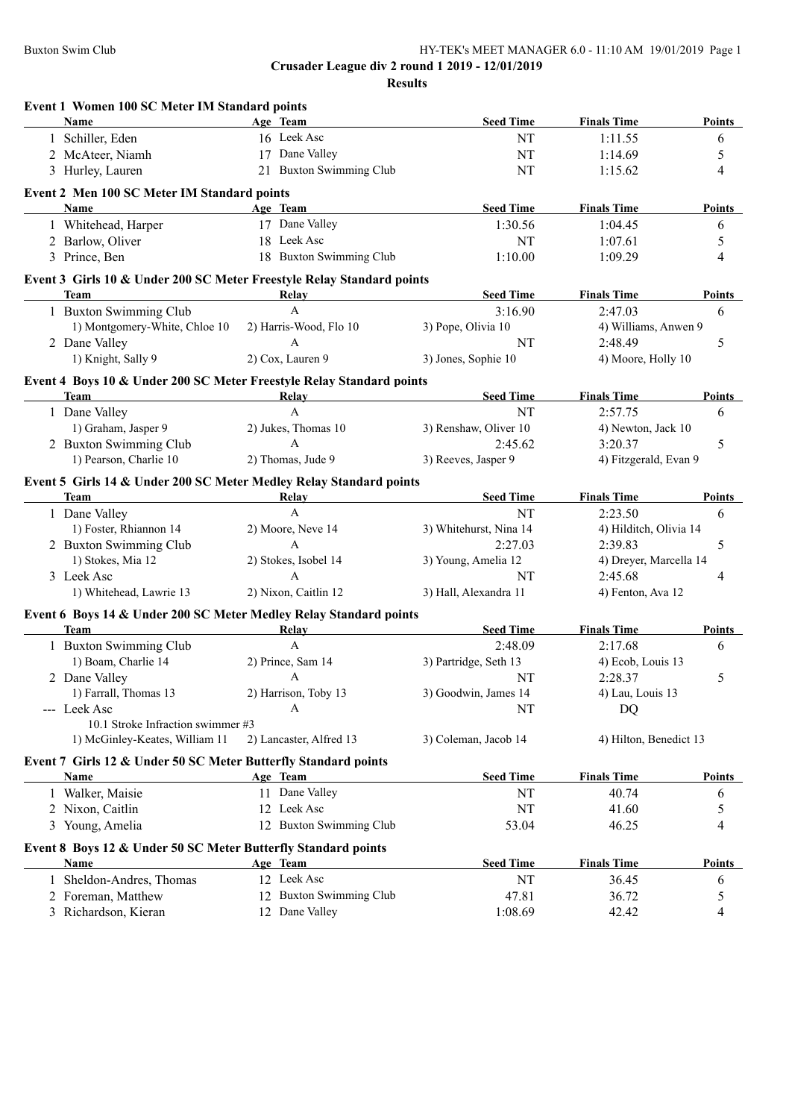| <b>Seed Time</b>                                                      | <b>Finals Time</b>                                                                                                                                                                                                                                                                                                                                                                                                                                                                    | <b>Points</b>                                                                                                                                                                                                                                                                                                                                                                                                                          |
|-----------------------------------------------------------------------|---------------------------------------------------------------------------------------------------------------------------------------------------------------------------------------------------------------------------------------------------------------------------------------------------------------------------------------------------------------------------------------------------------------------------------------------------------------------------------------|----------------------------------------------------------------------------------------------------------------------------------------------------------------------------------------------------------------------------------------------------------------------------------------------------------------------------------------------------------------------------------------------------------------------------------------|
| <b>NT</b>                                                             | 1:11.55                                                                                                                                                                                                                                                                                                                                                                                                                                                                               | 6                                                                                                                                                                                                                                                                                                                                                                                                                                      |
| <b>NT</b>                                                             | 1:14.69                                                                                                                                                                                                                                                                                                                                                                                                                                                                               | 5                                                                                                                                                                                                                                                                                                                                                                                                                                      |
| 21 Buxton Swimming Club<br><b>NT</b>                                  | 1:15.62                                                                                                                                                                                                                                                                                                                                                                                                                                                                               | 4                                                                                                                                                                                                                                                                                                                                                                                                                                      |
|                                                                       |                                                                                                                                                                                                                                                                                                                                                                                                                                                                                       |                                                                                                                                                                                                                                                                                                                                                                                                                                        |
| <b>Seed Time</b>                                                      | <b>Finals Time</b>                                                                                                                                                                                                                                                                                                                                                                                                                                                                    | Points                                                                                                                                                                                                                                                                                                                                                                                                                                 |
| 1:30.56                                                               | 1:04.45                                                                                                                                                                                                                                                                                                                                                                                                                                                                               | 6                                                                                                                                                                                                                                                                                                                                                                                                                                      |
| NT                                                                    | 1:07.61                                                                                                                                                                                                                                                                                                                                                                                                                                                                               | 5                                                                                                                                                                                                                                                                                                                                                                                                                                      |
| 18 Buxton Swimming Club<br>1:10.00                                    | 1:09.29                                                                                                                                                                                                                                                                                                                                                                                                                                                                               | 4                                                                                                                                                                                                                                                                                                                                                                                                                                      |
| Event 3 Girls 10 & Under 200 SC Meter Freestyle Relay Standard points |                                                                                                                                                                                                                                                                                                                                                                                                                                                                                       |                                                                                                                                                                                                                                                                                                                                                                                                                                        |
|                                                                       |                                                                                                                                                                                                                                                                                                                                                                                                                                                                                       | Points                                                                                                                                                                                                                                                                                                                                                                                                                                 |
|                                                                       |                                                                                                                                                                                                                                                                                                                                                                                                                                                                                       | 6                                                                                                                                                                                                                                                                                                                                                                                                                                      |
|                                                                       |                                                                                                                                                                                                                                                                                                                                                                                                                                                                                       |                                                                                                                                                                                                                                                                                                                                                                                                                                        |
|                                                                       |                                                                                                                                                                                                                                                                                                                                                                                                                                                                                       | 5                                                                                                                                                                                                                                                                                                                                                                                                                                      |
|                                                                       |                                                                                                                                                                                                                                                                                                                                                                                                                                                                                       |                                                                                                                                                                                                                                                                                                                                                                                                                                        |
| Event 4 Boys 10 & Under 200 SC Meter Freestyle Relay Standard points  |                                                                                                                                                                                                                                                                                                                                                                                                                                                                                       |                                                                                                                                                                                                                                                                                                                                                                                                                                        |
|                                                                       |                                                                                                                                                                                                                                                                                                                                                                                                                                                                                       | <b>Points</b>                                                                                                                                                                                                                                                                                                                                                                                                                          |
|                                                                       |                                                                                                                                                                                                                                                                                                                                                                                                                                                                                       | 6                                                                                                                                                                                                                                                                                                                                                                                                                                      |
|                                                                       |                                                                                                                                                                                                                                                                                                                                                                                                                                                                                       |                                                                                                                                                                                                                                                                                                                                                                                                                                        |
|                                                                       |                                                                                                                                                                                                                                                                                                                                                                                                                                                                                       | 5                                                                                                                                                                                                                                                                                                                                                                                                                                      |
|                                                                       |                                                                                                                                                                                                                                                                                                                                                                                                                                                                                       |                                                                                                                                                                                                                                                                                                                                                                                                                                        |
| Event 5 Girls 14 & Under 200 SC Meter Medley Relay Standard points    |                                                                                                                                                                                                                                                                                                                                                                                                                                                                                       |                                                                                                                                                                                                                                                                                                                                                                                                                                        |
|                                                                       |                                                                                                                                                                                                                                                                                                                                                                                                                                                                                       | Points                                                                                                                                                                                                                                                                                                                                                                                                                                 |
|                                                                       |                                                                                                                                                                                                                                                                                                                                                                                                                                                                                       | 6                                                                                                                                                                                                                                                                                                                                                                                                                                      |
|                                                                       |                                                                                                                                                                                                                                                                                                                                                                                                                                                                                       |                                                                                                                                                                                                                                                                                                                                                                                                                                        |
|                                                                       |                                                                                                                                                                                                                                                                                                                                                                                                                                                                                       | 5                                                                                                                                                                                                                                                                                                                                                                                                                                      |
|                                                                       |                                                                                                                                                                                                                                                                                                                                                                                                                                                                                       |                                                                                                                                                                                                                                                                                                                                                                                                                                        |
|                                                                       |                                                                                                                                                                                                                                                                                                                                                                                                                                                                                       | 4                                                                                                                                                                                                                                                                                                                                                                                                                                      |
|                                                                       |                                                                                                                                                                                                                                                                                                                                                                                                                                                                                       |                                                                                                                                                                                                                                                                                                                                                                                                                                        |
| Event 6 Boys 14 & Under 200 SC Meter Medley Relay Standard points     |                                                                                                                                                                                                                                                                                                                                                                                                                                                                                       |                                                                                                                                                                                                                                                                                                                                                                                                                                        |
|                                                                       |                                                                                                                                                                                                                                                                                                                                                                                                                                                                                       | Points                                                                                                                                                                                                                                                                                                                                                                                                                                 |
|                                                                       |                                                                                                                                                                                                                                                                                                                                                                                                                                                                                       | 6                                                                                                                                                                                                                                                                                                                                                                                                                                      |
|                                                                       |                                                                                                                                                                                                                                                                                                                                                                                                                                                                                       |                                                                                                                                                                                                                                                                                                                                                                                                                                        |
|                                                                       |                                                                                                                                                                                                                                                                                                                                                                                                                                                                                       | 5                                                                                                                                                                                                                                                                                                                                                                                                                                      |
|                                                                       |                                                                                                                                                                                                                                                                                                                                                                                                                                                                                       |                                                                                                                                                                                                                                                                                                                                                                                                                                        |
|                                                                       |                                                                                                                                                                                                                                                                                                                                                                                                                                                                                       |                                                                                                                                                                                                                                                                                                                                                                                                                                        |
|                                                                       |                                                                                                                                                                                                                                                                                                                                                                                                                                                                                       |                                                                                                                                                                                                                                                                                                                                                                                                                                        |
|                                                                       |                                                                                                                                                                                                                                                                                                                                                                                                                                                                                       |                                                                                                                                                                                                                                                                                                                                                                                                                                        |
| <b>Seed Time</b>                                                      | <b>Finals Time</b>                                                                                                                                                                                                                                                                                                                                                                                                                                                                    | Points                                                                                                                                                                                                                                                                                                                                                                                                                                 |
| <b>NT</b>                                                             | 40.74                                                                                                                                                                                                                                                                                                                                                                                                                                                                                 | 6                                                                                                                                                                                                                                                                                                                                                                                                                                      |
| NT                                                                    | 41.60                                                                                                                                                                                                                                                                                                                                                                                                                                                                                 | 5                                                                                                                                                                                                                                                                                                                                                                                                                                      |
|                                                                       |                                                                                                                                                                                                                                                                                                                                                                                                                                                                                       |                                                                                                                                                                                                                                                                                                                                                                                                                                        |
|                                                                       |                                                                                                                                                                                                                                                                                                                                                                                                                                                                                       |                                                                                                                                                                                                                                                                                                                                                                                                                                        |
| 12 Buxton Swimming Club<br>53.04                                      | 46.25                                                                                                                                                                                                                                                                                                                                                                                                                                                                                 | 4                                                                                                                                                                                                                                                                                                                                                                                                                                      |
| Event 8 Boys 12 & Under 50 SC Meter Butterfly Standard points         |                                                                                                                                                                                                                                                                                                                                                                                                                                                                                       |                                                                                                                                                                                                                                                                                                                                                                                                                                        |
| <b>Seed Time</b>                                                      | <b>Finals Time</b>                                                                                                                                                                                                                                                                                                                                                                                                                                                                    | <b>Points</b>                                                                                                                                                                                                                                                                                                                                                                                                                          |
| <b>NT</b>                                                             | 36.45                                                                                                                                                                                                                                                                                                                                                                                                                                                                                 | 6                                                                                                                                                                                                                                                                                                                                                                                                                                      |
| 12 Buxton Swimming Club<br>47.81<br>1:08.69                           | 36.72<br>42.42                                                                                                                                                                                                                                                                                                                                                                                                                                                                        | 5<br>4                                                                                                                                                                                                                                                                                                                                                                                                                                 |
|                                                                       | <b>Seed Time</b><br>3:16.90<br>3) Pope, Olivia 10<br><b>NT</b><br>3) Jones, Sophie 10<br><b>Seed Time</b><br>NT<br>3) Renshaw, Oliver 10<br>2:45.62<br>3) Reeves, Jasper 9<br><b>Seed Time</b><br>NT<br>3) Whitehurst, Nina 14<br>2:27.03<br>3) Young, Amelia 12<br>NT<br>3) Hall, Alexandra 11<br><b>Seed Time</b><br>2:48.09<br>3) Partridge, Seth 13<br>NT<br>3) Goodwin, James 14<br>NT<br>3) Coleman, Jacob 14<br>Event 7 Girls 12 & Under 50 SC Meter Butterfly Standard points | <b>Finals Time</b><br>2:47.03<br>4) Williams, Anwen 9<br>2:48.49<br>4) Moore, Holly 10<br><b>Finals Time</b><br>2:57.75<br>4) Newton, Jack 10<br>3:20.37<br>4) Fitzgerald, Evan 9<br><b>Finals Time</b><br>2:23.50<br>4) Hilditch, Olivia 14<br>2:39.83<br>4) Dreyer, Marcella 14<br>2:45.68<br>4) Fenton, Ava 12<br><b>Finals Time</b><br>2:17.68<br>4) Ecob, Louis 13<br>2:28.37<br>4) Lau, Louis 13<br>DQ<br>4) Hilton, Benedict 13 |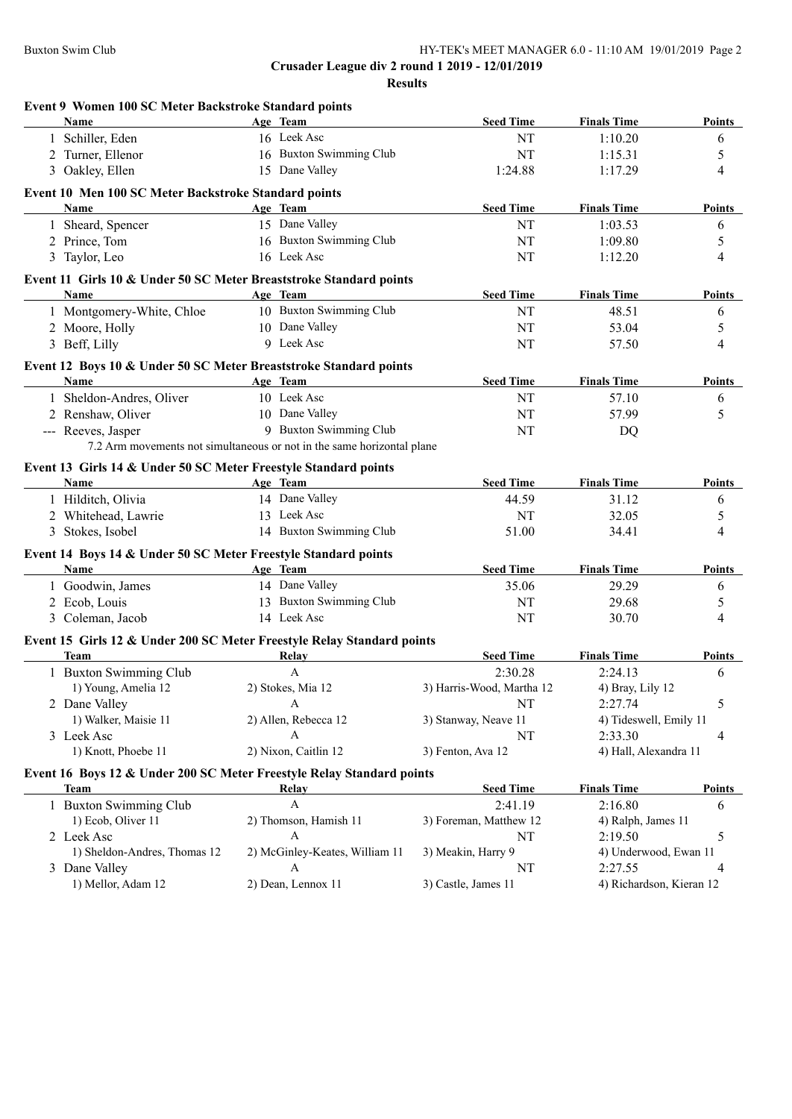| Event 9 Women 100 SC Meter Backstroke Standard points<br>Name          | Age Team                                                               | <b>Seed Time</b>          | <b>Finals Time</b>               | <b>Points</b>  |
|------------------------------------------------------------------------|------------------------------------------------------------------------|---------------------------|----------------------------------|----------------|
| 1 Schiller, Eden                                                       | 16 Leek Asc                                                            | NT                        | 1:10.20                          | 6              |
| 2 Turner, Ellenor                                                      | 16 Buxton Swimming Club                                                | NT                        | 1:15.31                          | 5              |
| 3 Oakley, Ellen                                                        | 15 Dane Valley                                                         | 1:24.88                   | 1:17.29                          | $\overline{4}$ |
|                                                                        |                                                                        |                           |                                  |                |
| Event 10 Men 100 SC Meter Backstroke Standard points<br>Name           | Age Team                                                               | <b>Seed Time</b>          | <b>Finals Time</b>               | Points         |
| 1 Sheard, Spencer                                                      | 15 Dane Valley                                                         | NT                        | 1:03.53                          | 6              |
| 2 Prince, Tom                                                          | 16 Buxton Swimming Club                                                | NT                        | 1:09.80                          | $\sqrt{5}$     |
| 3 Taylor, Leo                                                          | 16 Leek Asc                                                            | NT                        | 1:12.20                          | $\overline{4}$ |
|                                                                        |                                                                        |                           |                                  |                |
| Event 11 Girls 10 & Under 50 SC Meter Breaststroke Standard points     |                                                                        | <b>Seed Time</b>          |                                  |                |
| <b>Name</b>                                                            | Age Team<br>10 Buxton Swimming Club                                    |                           | <b>Finals Time</b><br>48.51      | Points         |
| 1 Montgomery-White, Chloe                                              | 10 Dane Valley                                                         | NT                        |                                  | 6              |
| 2 Moore, Holly<br>3 Beff, Lilly                                        | 9 Leek Asc                                                             | NT                        | 53.04<br>57.50                   | 5<br>4         |
|                                                                        |                                                                        | NT                        |                                  |                |
| Event 12 Boys 10 & Under 50 SC Meter Breaststroke Standard points      |                                                                        |                           |                                  |                |
| Name                                                                   | Age Team                                                               | <b>Seed Time</b>          | <b>Finals Time</b>               | Points         |
| 1 Sheldon-Andres, Oliver                                               | 10 Leek Asc                                                            | NT                        | 57.10                            | 6              |
| 2 Renshaw, Oliver                                                      | 10 Dane Valley                                                         | NT                        | 57.99                            | 5              |
| --- Reeves, Jasper                                                     | 9 Buxton Swimming Club                                                 | NT                        | DQ                               |                |
|                                                                        | 7.2 Arm movements not simultaneous or not in the same horizontal plane |                           |                                  |                |
| Event 13 Girls 14 & Under 50 SC Meter Freestyle Standard points        |                                                                        |                           |                                  |                |
| Name                                                                   | Age Team                                                               | <b>Seed Time</b>          | <b>Finals Time</b>               | <b>Points</b>  |
| 1 Hilditch, Olivia                                                     | 14 Dane Valley                                                         | 44.59                     | 31.12                            | 6              |
| 2 Whitehead, Lawrie                                                    | 13 Leek Asc                                                            | NT                        | 32.05                            | 5              |
| 3 Stokes, Isobel                                                       | 14 Buxton Swimming Club                                                | 51.00                     | 34.41                            | $\overline{4}$ |
| Event 14 Boys 14 & Under 50 SC Meter Freestyle Standard points         |                                                                        |                           |                                  |                |
| Name                                                                   | Age Team                                                               | <b>Seed Time</b>          | <b>Finals Time</b>               | Points         |
| 1 Goodwin, James                                                       | 14 Dane Valley                                                         | 35.06                     | 29.29                            | 6              |
| 2 Ecob, Louis                                                          | 13 Buxton Swimming Club                                                | NT                        | 29.68                            | 5              |
| 3 Coleman, Jacob                                                       | 14 Leek Asc                                                            | NT                        | 30.70                            | 4              |
| Event 15 Girls 12 & Under 200 SC Meter Freestyle Relay Standard points |                                                                        |                           |                                  |                |
| <b>Team</b>                                                            | Relay                                                                  | <b>Seed Time</b>          | <b>Finals Time</b>               | Points         |
| 1 Buxton Swimming Club                                                 | $\mathbf{A}$                                                           | 2:30.28                   | 2:24.13                          | 6              |
| 1) Young, Amelia 12                                                    | 2) Stokes, Mia 12                                                      | 3) Harris-Wood, Martha 12 | 4) Bray, Lily 12                 |                |
| 2 Dane Valley                                                          | A                                                                      | NT                        | 2:27.74                          | 5              |
| 1) Walker, Maisie 11                                                   | 2) Allen, Rebecca 12                                                   | 3) Stanway, Neave 11      | 4) Tideswell, Emily 11           |                |
| 3 Leek Asc                                                             | A                                                                      | NT                        | 2:33.30                          | 4              |
| 1) Knott, Phoebe 11                                                    | 2) Nixon, Caitlin 12                                                   | 3) Fenton, Ava 12         | 4) Hall, Alexandra 11            |                |
| Event 16 Boys 12 & Under 200 SC Meter Freestyle Relay Standard points  |                                                                        |                           |                                  |                |
| Team                                                                   | Relay                                                                  | <b>Seed Time</b>          | <b>Finals Time</b>               | <b>Points</b>  |
| 1 Buxton Swimming Club                                                 | A                                                                      | 2:41.19                   | 2:16.80                          | 6              |
| 1) Ecob, Oliver 11                                                     | 2) Thomson, Hamish 11                                                  | 3) Foreman, Matthew 12    | 4) Ralph, James 11               |                |
| 2 Leek Asc                                                             | А                                                                      | NT                        | 2:19.50                          | 5              |
|                                                                        |                                                                        |                           |                                  |                |
|                                                                        |                                                                        |                           |                                  |                |
| 1) Sheldon-Andres, Thomas 12<br>3 Dane Valley                          | 2) McGinley-Keates, William 11<br>А                                    | 3) Meakin, Harry 9<br>NT  | 4) Underwood, Ewan 11<br>2:27.55 | 4              |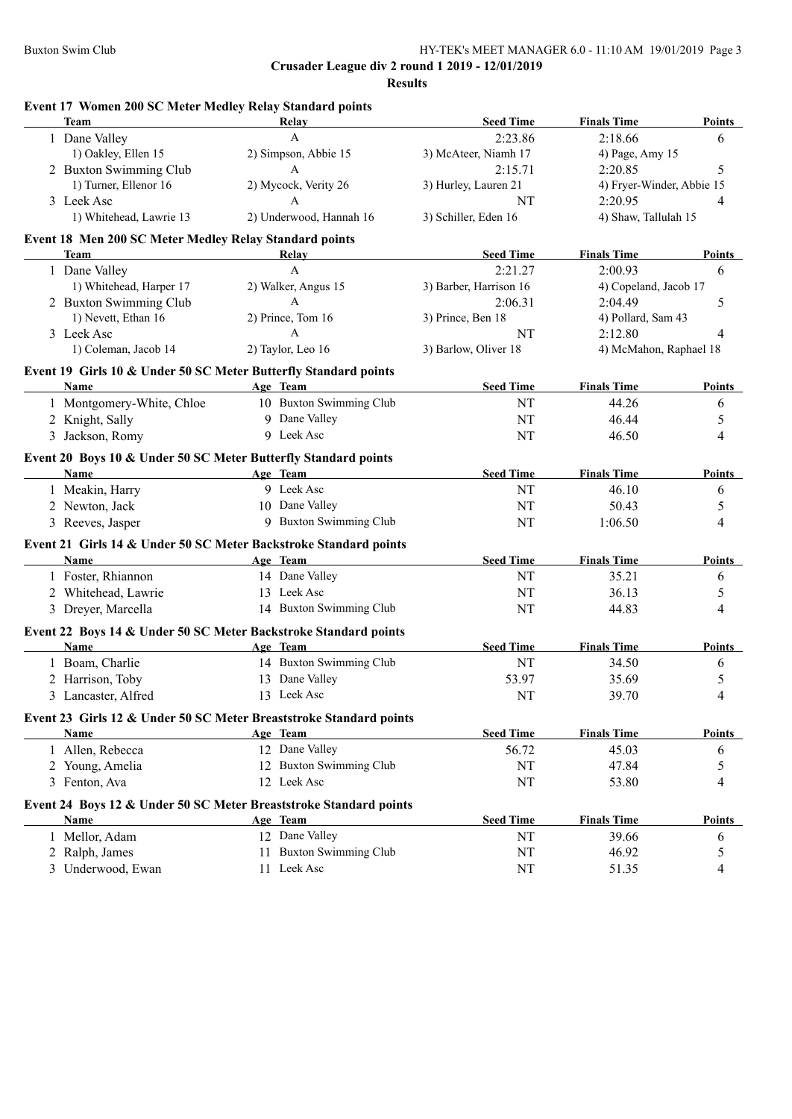| Event 17 Women 200 SC Meter Medley Relay Standard points                |                                     |                        |                           |               |
|-------------------------------------------------------------------------|-------------------------------------|------------------------|---------------------------|---------------|
| Team                                                                    | Relay                               | <b>Seed Time</b>       | <b>Finals Time</b>        | <b>Points</b> |
| 1 Dane Valley                                                           | $\mathbf{A}$                        | 2:23.86                | 2:18.66                   | 6             |
| 1) Oakley, Ellen 15                                                     | 2) Simpson, Abbie 15                | 3) McAteer, Niamh 17   | 4) Page, Amy 15           |               |
| 2 Buxton Swimming Club                                                  | $\mathbf{A}$                        | 2:15.71                | 2:20.85                   | 5             |
| 1) Turner, Ellenor 16                                                   | 2) Mycock, Verity 26                | 3) Hurley, Lauren 21   | 4) Fryer-Winder, Abbie 15 |               |
| 3 Leek Asc                                                              | $\mathbf{A}$                        | NT                     | 2:20.95                   | 4             |
| 1) Whitehead, Lawrie 13                                                 | 2) Underwood, Hannah 16             | 3) Schiller, Eden 16   | 4) Shaw, Tallulah 15      |               |
| Event 18 Men 200 SC Meter Medley Relay Standard points                  |                                     |                        |                           |               |
| Team                                                                    | Relay                               | <b>Seed Time</b>       | <b>Finals Time</b>        | <b>Points</b> |
| 1 Dane Valley                                                           | A                                   | 2:21.27                | 2:00.93                   | 6             |
| 1) Whitehead, Harper 17                                                 | 2) Walker, Angus 15                 | 3) Barber, Harrison 16 | 4) Copeland, Jacob 17     |               |
| 2 Buxton Swimming Club                                                  | $\mathbf{A}$                        | 2:06.31                | 2:04.49                   | 5             |
| 1) Nevett, Ethan 16                                                     | 2) Prince, Tom 16                   | 3) Prince, Ben 18      | 4) Pollard, Sam 43        |               |
| 3 Leek Asc                                                              | $\mathsf{A}$                        | <b>NT</b>              | 2:12.80                   | 4             |
| 1) Coleman, Jacob 14                                                    | 2) Taylor, Leo 16                   | 3) Barlow, Oliver 18   | 4) McMahon, Raphael 18    |               |
|                                                                         |                                     |                        |                           |               |
| Event 19 Girls 10 & Under 50 SC Meter Butterfly Standard points<br>Name | Age Team                            | <b>Seed Time</b>       | <b>Finals Time</b>        | <b>Points</b> |
|                                                                         | 10 Buxton Swimming Club             |                        |                           |               |
| 1 Montgomery-White, Chloe                                               |                                     | NT                     | 44.26                     | 6             |
| 2 Knight, Sally                                                         | 9 Dane Valley                       | NT                     | 46.44                     | 5             |
| 3 Jackson, Romy                                                         | 9 Leek Asc                          | <b>NT</b>              | 46.50                     | 4             |
| Event 20 Boys 10 & Under 50 SC Meter Butterfly Standard points          |                                     |                        |                           |               |
| Name                                                                    | Age Team                            | <b>Seed Time</b>       | <b>Finals Time</b>        | Points        |
| 1 Meakin, Harry                                                         | 9 Leek Asc                          | NT                     | 46.10                     | 6             |
| 2 Newton, Jack                                                          | 10 Dane Valley                      | NT                     | 50.43                     | 5             |
| 3 Reeves, Jasper                                                        | 9 Buxton Swimming Club              | NT                     | 1:06.50                   | 4             |
| Event 21 Girls 14 & Under 50 SC Meter Backstroke Standard points        |                                     |                        |                           |               |
| Name                                                                    | Age Team                            | <b>Seed Time</b>       | <b>Finals Time</b>        | <b>Points</b> |
| 1 Foster, Rhiannon                                                      | 14 Dane Valley                      | NT                     | 35.21                     | 6             |
| 2 Whitehead, Lawrie                                                     | 13 Leek Asc                         | NT                     | 36.13                     | 5             |
| 3 Dreyer, Marcella                                                      | 14 Buxton Swimming Club             | NT                     | 44.83                     | 4             |
|                                                                         |                                     |                        |                           |               |
| Event 22 Boys 14 & Under 50 SC Meter Backstroke Standard points<br>Name |                                     |                        | <b>Finals Time</b>        |               |
|                                                                         | Age Team<br>14 Buxton Swimming Club | <b>Seed Time</b>       |                           | <b>Points</b> |
| 1 Boam, Charlie                                                         |                                     | <b>NT</b>              | 34.50                     | 6             |
| 2 Harrison, Toby                                                        | 13 Dane Valley                      | 53.97                  | 35.69                     | 5             |
| 3 Lancaster, Alfred                                                     | 13 Leek Asc                         | NT                     | 39.70                     | 4             |
| Event 23 Girls 12 & Under 50 SC Meter Breaststroke Standard points      |                                     |                        |                           |               |
| Name                                                                    | Age Team                            | <b>Seed Time</b>       | <b>Finals Time</b>        | Points        |
| 1 Allen, Rebecca                                                        | 12 Dane Valley                      | 56.72                  | 45.03                     | 6             |
| 2 Young, Amelia                                                         | 12 Buxton Swimming Club             | NT                     | 47.84                     | 5             |
| 3 Fenton, Ava                                                           | 12 Leek Asc                         | NT                     | 53.80                     | 4             |
| Event 24 Boys 12 & Under 50 SC Meter Breaststroke Standard points       |                                     |                        |                           |               |
| Name                                                                    | Age Team                            | <b>Seed Time</b>       | <b>Finals Time</b>        | <b>Points</b> |
| 1 Mellor, Adam                                                          | 12 Dane Valley                      | NT                     | 39.66                     | 6             |
| 2 Ralph, James                                                          | 11 Buxton Swimming Club             | NT                     | 46.92                     | 5             |
| 3 Underwood, Ewan                                                       | 11 Leek Asc                         | NT                     | 51.35                     | 4             |
|                                                                         |                                     |                        |                           |               |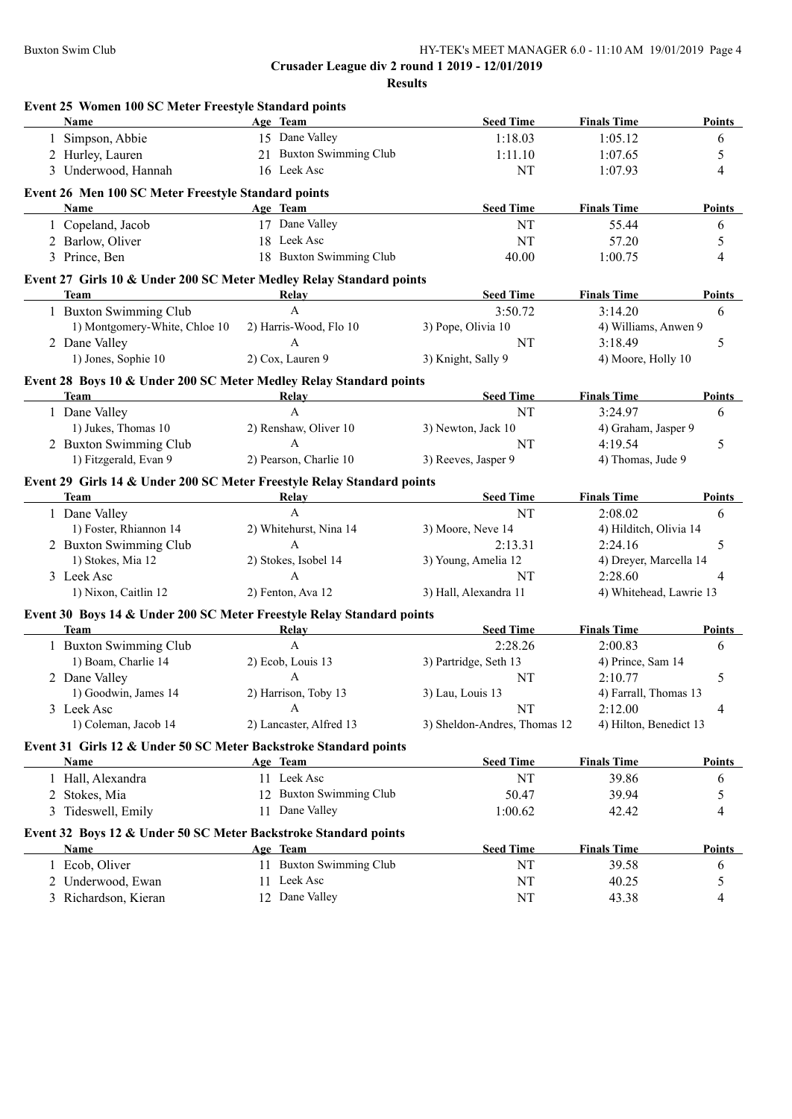|   |                                                                        | Event 25 Women 100 SC Meter Freestyle Standard points |                              |                         |                                               |
|---|------------------------------------------------------------------------|-------------------------------------------------------|------------------------------|-------------------------|-----------------------------------------------|
|   | Name                                                                   | Age Team                                              | <b>Seed Time</b>             | <b>Finals Time</b>      | Points                                        |
|   | 1 Simpson, Abbie                                                       | 15 Dane Valley                                        | 1:18.03                      | 1:05.12                 | 6                                             |
|   | 2 Hurley, Lauren                                                       | 21 Buxton Swimming Club                               | 1:11.10                      | 1:07.65                 | 5                                             |
|   | 3 Underwood, Hannah                                                    | 16 Leek Asc                                           | <b>NT</b>                    | 1:07.93                 | 4                                             |
|   | Event 26 Men 100 SC Meter Freestyle Standard points                    |                                                       |                              |                         |                                               |
|   | Name                                                                   | Age Team                                              | <b>Seed Time</b>             | <b>Finals Time</b>      | <b>Points</b>                                 |
|   | 1 Copeland, Jacob                                                      | 17 Dane Valley                                        | <b>NT</b>                    | 55.44                   | 6                                             |
|   | 2 Barlow, Oliver                                                       | 18 Leek Asc                                           | <b>NT</b>                    | 57.20                   | 5                                             |
|   | 3 Prince, Ben                                                          | 18 Buxton Swimming Club                               | 40.00                        | 1:00.75                 | 4                                             |
|   | Event 27 Girls 10 & Under 200 SC Meter Medley Relay Standard points    |                                                       |                              |                         |                                               |
|   | <b>Team</b>                                                            | Relay                                                 | <b>Seed Time</b>             | <b>Finals Time</b>      | <b>Points</b>                                 |
|   | 1 Buxton Swimming Club                                                 | $\mathbf{A}$                                          | 3:50.72                      | 3:14.20                 | 6                                             |
|   | 1) Montgomery-White, Chloe 10                                          | 2) Harris-Wood, Flo 10                                | 3) Pope, Olivia 10           | 4) Williams, Anwen 9    |                                               |
|   | 2 Dane Valley                                                          | $\mathbf{A}$                                          | NT                           | 3:18.49                 | 5                                             |
|   | 1) Jones, Sophie 10                                                    | 2) Cox, Lauren 9                                      | 3) Knight, Sally 9           | 4) Moore, Holly 10      |                                               |
|   | Event 28 Boys 10 & Under 200 SC Meter Medley Relay Standard points     |                                                       |                              |                         |                                               |
|   | <b>Team</b>                                                            | Relay                                                 | <b>Seed Time</b>             | <b>Finals Time</b>      | Points                                        |
|   | 1 Dane Valley                                                          | A                                                     | NT                           | 3:24.97                 | 6                                             |
|   | 1) Jukes, Thomas 10                                                    | 2) Renshaw, Oliver 10                                 | 3) Newton, Jack 10           | 4) Graham, Jasper 9     |                                               |
|   | 2 Buxton Swimming Club                                                 | A                                                     | NT                           | 4:19.54                 | 5                                             |
|   | 1) Fitzgerald, Evan 9                                                  | 2) Pearson, Charlie 10                                | 3) Reeves, Jasper 9          | 4) Thomas, Jude 9       |                                               |
|   | Event 29 Girls 14 & Under 200 SC Meter Freestyle Relay Standard points |                                                       |                              |                         |                                               |
|   | Team                                                                   | Relay                                                 | <b>Seed Time</b>             | <b>Finals Time</b>      | Points                                        |
|   | 1 Dane Valley                                                          | $\mathbf{A}$                                          | NT                           | 2:08.02                 | 6                                             |
|   | 1) Foster, Rhiannon 14                                                 | 2) Whitehurst, Nina 14                                | 3) Moore, Neve 14            | 4) Hilditch, Olivia 14  |                                               |
|   |                                                                        |                                                       |                              |                         |                                               |
|   | 2 Buxton Swimming Club                                                 | $\mathbf{A}$                                          | 2:13.31                      | 2:24.16                 | 5                                             |
|   | 1) Stokes, Mia 12                                                      | 2) Stokes, Isobel 14                                  | 3) Young, Amelia 12          | 4) Dreyer, Marcella 14  |                                               |
|   | 3 Leek Asc                                                             | $\mathbf{A}$                                          | <b>NT</b>                    | 2:28.60                 | 4                                             |
|   | 1) Nixon, Caitlin 12                                                   | 2) Fenton, Ava 12                                     | 3) Hall, Alexandra 11        | 4) Whitehead, Lawrie 13 |                                               |
|   | Event 30 Boys 14 & Under 200 SC Meter Freestyle Relay Standard points  |                                                       |                              |                         |                                               |
|   | <b>Team</b>                                                            | Relay                                                 | <b>Seed Time</b>             | <b>Finals Time</b>      |                                               |
|   | 1 Buxton Swimming Club                                                 | $\mathbf{A}$                                          | 2:28.26                      | 2:00.83                 | 6                                             |
|   | 1) Boam, Charlie 14                                                    | 2) Ecob, Louis 13                                     | 3) Partridge, Seth 13        | 4) Prince, Sam 14       |                                               |
|   | 2 Dane Valley                                                          | $\mathbf{A}$                                          | NT                           | 2:10.77                 | 5                                             |
|   | 1) Goodwin, James 14                                                   | 2) Harrison, Toby 13                                  | 3) Lau, Louis 13             | 4) Farrall, Thomas 13   |                                               |
|   | 3 Leek Asc                                                             | A                                                     | NT                           | 2:12.00                 | 4                                             |
|   | 1) Coleman, Jacob 14                                                   | 2) Lancaster, Alfred 13                               | 3) Sheldon-Andres, Thomas 12 | 4) Hilton, Benedict 13  |                                               |
|   | Event 31 Girls 12 & Under 50 SC Meter Backstroke Standard points       |                                                       |                              |                         |                                               |
|   | Name                                                                   | Age Team                                              | <b>Seed Time</b>             | <b>Finals Time</b>      |                                               |
|   | 1 Hall, Alexandra                                                      | 11 Leek Asc                                           | NT                           | 39.86                   | 6                                             |
|   | 2 Stokes, Mia                                                          | 12 Buxton Swimming Club                               | 50.47                        | 39.94                   | 5                                             |
| 3 | Tideswell, Emily                                                       | 11 Dane Valley                                        | 1:00.62                      | 42.42                   | 4                                             |
|   | Event 32 Boys 12 & Under 50 SC Meter Backstroke Standard points        |                                                       |                              |                         |                                               |
|   | <b>Name</b>                                                            | Age Team                                              | <b>Seed Time</b>             | <b>Finals Time</b>      |                                               |
|   | 1 Ecob, Oliver                                                         | 11 Buxton Swimming Club                               | <b>NT</b>                    | 39.58                   | 6                                             |
|   | 2 Underwood, Ewan                                                      | 11 Leek Asc                                           | NT                           | 40.25                   | Points<br><b>Points</b><br><b>Points</b><br>5 |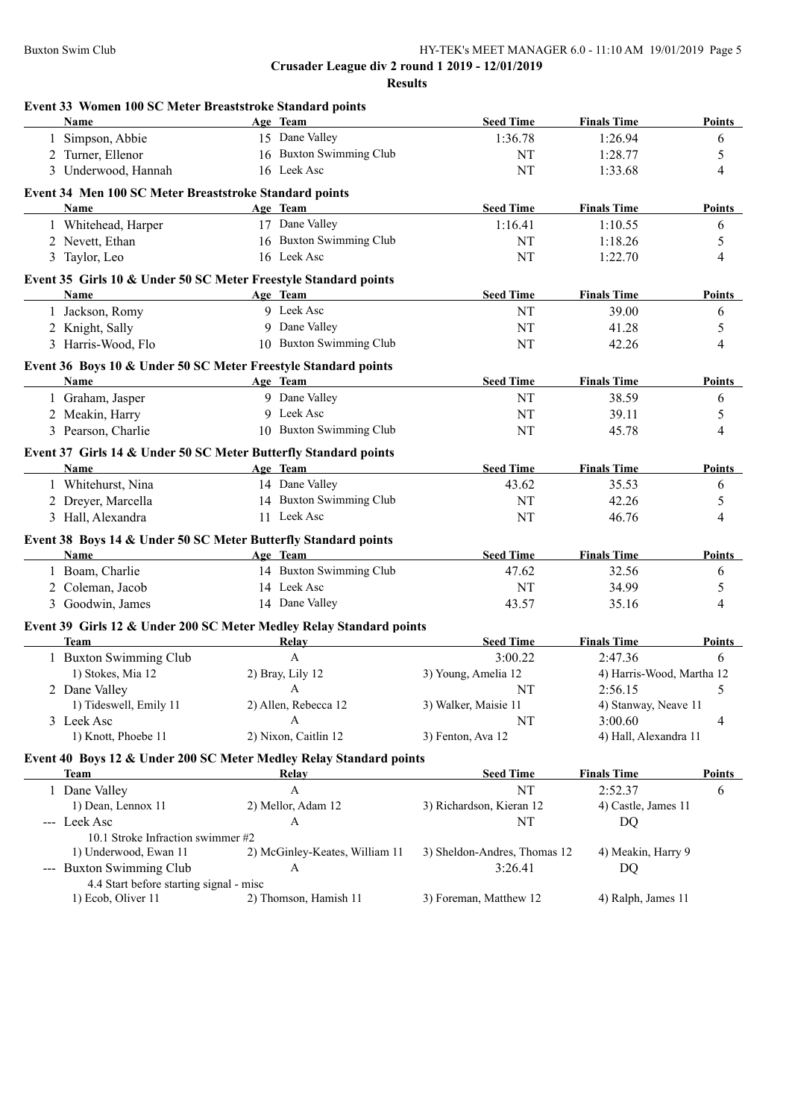| Event 33 Women 100 SC Meter Breaststroke Standard points            |                                                                             |                              |                           |                |
|---------------------------------------------------------------------|-----------------------------------------------------------------------------|------------------------------|---------------------------|----------------|
| <b>Name</b>                                                         | Age Team                                                                    | <b>Seed Time</b>             | <b>Finals Time</b>        | Points         |
| 1 Simpson, Abbie                                                    | 15 Dane Valley                                                              | 1:36.78                      | 1:26.94                   | 6              |
| 2 Turner, Ellenor                                                   | 16 Buxton Swimming Club                                                     | NT                           | 1:28.77                   | 5              |
| 3 Underwood, Hannah                                                 | 16 Leek Asc                                                                 | <b>NT</b>                    | 1:33.68                   | $\overline{4}$ |
| Event 34 Men 100 SC Meter Breaststroke Standard points              |                                                                             |                              |                           |                |
| Name                                                                | Age Team                                                                    | <b>Seed Time</b>             | <b>Finals Time</b>        | Points         |
| 1 Whitehead, Harper                                                 | 17 Dane Valley                                                              | 1:16.41                      | 1:10.55                   | 6              |
| 2 Nevett, Ethan                                                     | 16 Buxton Swimming Club                                                     | NT                           | 1:18.26                   | 5              |
| 3 Taylor, Leo                                                       | 16 Leek Asc                                                                 | NT                           | 1:22.70                   | $\overline{4}$ |
|                                                                     | Event 35 Girls 10 & Under 50 SC Meter Freestyle Standard points             |                              |                           |                |
| Name                                                                | Age Team                                                                    | <b>Seed Time</b>             | <b>Finals Time</b>        | <b>Points</b>  |
| 1 Jackson, Romy                                                     | 9 Leek Asc                                                                  | NT                           | 39.00                     | 6              |
| 2 Knight, Sally                                                     | 9 Dane Valley                                                               | NT                           | 41.28                     | 5              |
| 3 Harris-Wood, Flo                                                  | 10 Buxton Swimming Club                                                     | NT                           | 42.26                     | 4              |
|                                                                     | Event 36 Boys 10 & Under 50 SC Meter Freestyle Standard points              |                              |                           |                |
| Name                                                                | <b>Example 2</b> Age Team                                                   | <b>Seed Time</b>             | <b>Finals Time</b>        | Points         |
| 1 Graham, Jasper                                                    | 9 Dane Valley                                                               | NT                           | 38.59                     | 6              |
| 2 Meakin, Harry                                                     | 9 Leek Asc                                                                  | NT                           | 39.11                     | 5              |
| 3 Pearson, Charlie                                                  | 10 Buxton Swimming Club                                                     | NT                           | 45.78                     | $\overline{4}$ |
|                                                                     |                                                                             |                              |                           |                |
| <b>Name</b><br><u> 1980 - Johann Barbara, martxa alemaniar a</u>    | Event 37 Girls 14 & Under 50 SC Meter Butterfly Standard points<br>Age Team | <b>Seed Time</b>             | <b>Finals Time</b>        | Points         |
| 1 Whitehurst, Nina                                                  | 14 Dane Valley                                                              | 43.62                        | 35.53                     | 6              |
| 2 Dreyer, Marcella                                                  | 14 Buxton Swimming Club                                                     | NT                           | 42.26                     | 5              |
| 3 Hall, Alexandra                                                   | 11 Leek Asc                                                                 | <b>NT</b>                    | 46.76                     | 4              |
|                                                                     |                                                                             |                              |                           |                |
|                                                                     | Event 38 Boys 14 & Under 50 SC Meter Butterfly Standard points              |                              |                           |                |
| Name                                                                | Age Team<br>14 Buxton Swimming Club                                         | <b>Seed Time</b>             | <b>Finals Time</b>        | Points         |
| 1 Boam, Charlie                                                     |                                                                             | 47.62                        | 32.56                     | 6              |
| 2 Coleman, Jacob                                                    | 14 Leek Asc                                                                 | NT                           | 34.99                     | 5              |
| 3 Goodwin, James                                                    | 14 Dane Valley                                                              | 43.57                        | 35.16                     | 4              |
|                                                                     | Event 39 Girls 12 & Under 200 SC Meter Medley Relay Standard points         |                              |                           |                |
| <b>Team</b>                                                         | Relay                                                                       | <b>Seed Time</b>             | <b>Finals Time</b>        | Points         |
| 1 Buxton Swimming Club                                              | $\mathbf A$                                                                 | 3:00.22                      | 2:47.36                   | 6              |
| 1) Stokes, Mia 12                                                   | 2) Bray, Lily 12                                                            | 3) Young, Amelia 12          | 4) Harris-Wood, Martha 12 |                |
| 2 Dane Valley                                                       | A                                                                           | NT                           | 2:56.15                   | 5              |
| 1) Tideswell, Emily 11                                              | 2) Allen, Rebecca 12                                                        | 3) Walker, Maisie 11         | 4) Stanway, Neave 11      |                |
| 3 Leek Asc                                                          | A                                                                           | NT                           | 3:00.60                   | 4              |
| 1) Knott, Phoebe 11                                                 | 2) Nixon, Caitlin 12                                                        | 3) Fenton, Ava 12            | 4) Hall, Alexandra 11     |                |
|                                                                     | Event 40 Boys 12 & Under 200 SC Meter Medley Relay Standard points          |                              |                           |                |
| Team                                                                | Relay                                                                       | <b>Seed Time</b>             | <b>Finals Time</b>        | <b>Points</b>  |
| 1 Dane Valley                                                       | A                                                                           | NT                           | 2:52.37                   | 6              |
| 1) Dean, Lennox 11                                                  | 2) Mellor, Adam 12                                                          | 3) Richardson, Kieran 12     | 4) Castle, James 11       |                |
| --- Leek Asc                                                        | $\boldsymbol{A}$                                                            | NT                           | DQ                        |                |
| 10.1 Stroke Infraction swimmer #2                                   |                                                                             |                              |                           |                |
| 1) Underwood, Ewan 11                                               | 2) McGinley-Keates, William 11                                              | 3) Sheldon-Andres, Thomas 12 | 4) Meakin, Harry 9        |                |
| --- Buxton Swimming Club<br>4.4 Start before starting signal - misc | A                                                                           | 3:26.41                      | DQ                        |                |
| 1) Ecob, Oliver 11                                                  | 2) Thomson, Hamish 11                                                       | 3) Foreman, Matthew 12       | 4) Ralph, James 11        |                |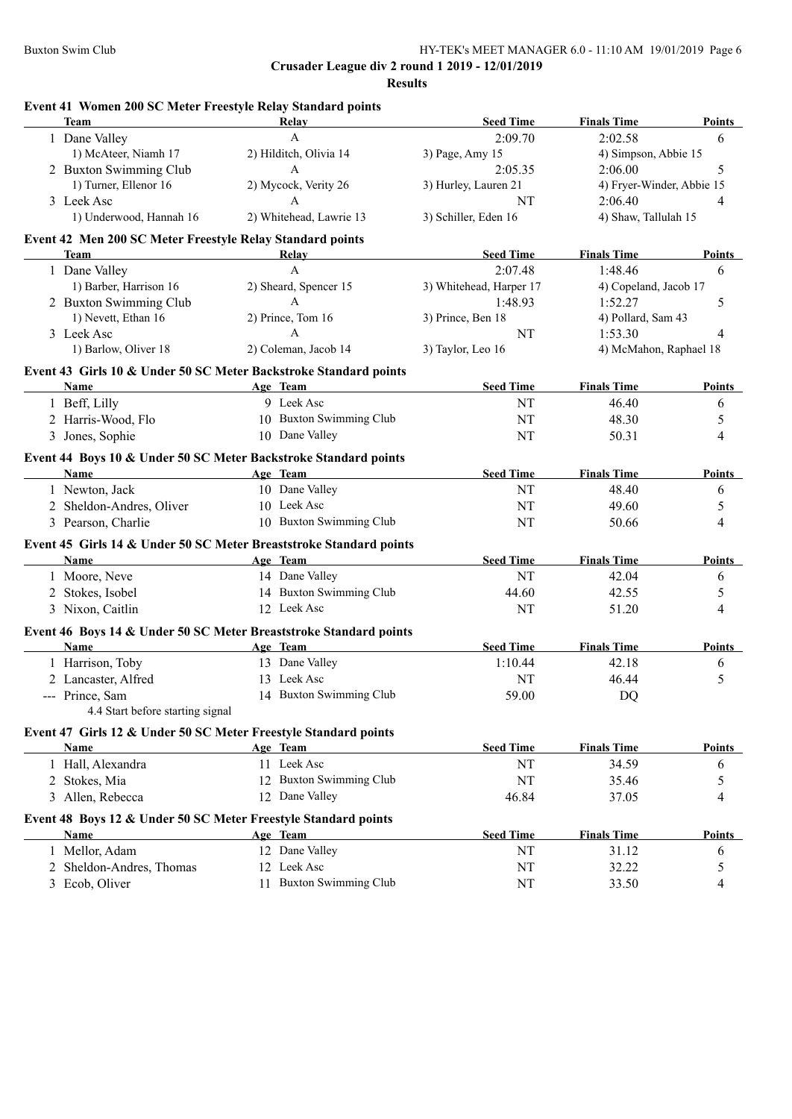| Event 41 Women 200 SC Meter Freestyle Relay Standard points<br><b>Team</b> | Relay                                                                          | <b>Seed Time</b>        | <b>Finals Time</b>          | Points        |
|----------------------------------------------------------------------------|--------------------------------------------------------------------------------|-------------------------|-----------------------------|---------------|
| 1 Dane Valley                                                              | $\mathbf{A}$                                                                   | 2:09.70                 | 2:02.58                     | 6             |
| 1) McAteer, Niamh 17                                                       | 2) Hilditch, Olivia 14                                                         | 3) Page, Amy 15         | 4) Simpson, Abbie 15        |               |
| 2 Buxton Swimming Club                                                     | $\mathbf{A}$                                                                   | 2:05.35                 | 2:06.00                     | 5             |
| 1) Turner, Ellenor 16                                                      | 2) Mycock, Verity 26                                                           | 3) Hurley, Lauren 21    | 4) Fryer-Winder, Abbie 15   |               |
| 3 Leek Asc                                                                 | $\mathbf{A}$                                                                   | NT                      | 2:06.40                     | 4             |
| 1) Underwood, Hannah 16                                                    | 2) Whitehead, Lawrie 13                                                        | 3) Schiller, Eden 16    | 4) Shaw, Tallulah 15        |               |
| Event 42 Men 200 SC Meter Freestyle Relay Standard points                  |                                                                                |                         |                             |               |
| Team                                                                       | Relay                                                                          | <b>Seed Time</b>        | <b>Finals Time</b>          | Points        |
| 1 Dane Valley                                                              | A                                                                              | 2:07.48                 | 1:48.46                     | 6             |
| 1) Barber, Harrison 16                                                     | 2) Sheard, Spencer 15                                                          | 3) Whitehead, Harper 17 | 4) Copeland, Jacob 17       |               |
| 2 Buxton Swimming Club                                                     | $\mathbf{A}$                                                                   | 1:48.93                 | 1:52.27                     | 5             |
| 1) Nevett, Ethan 16                                                        | 2) Prince, Tom 16                                                              | 3) Prince, Ben 18       | 4) Pollard, Sam 43          |               |
| 3 Leek Asc                                                                 | $\mathsf{A}$                                                                   | NT                      | 1:53.30                     | 4             |
| 1) Barlow, Oliver 18                                                       | 2) Coleman, Jacob 14                                                           | 3) Taylor, Leo 16       | 4) McMahon, Raphael 18      |               |
|                                                                            | Event 43 Girls 10 & Under 50 SC Meter Backstroke Standard points               |                         |                             |               |
| Name                                                                       | Age Team                                                                       | <b>Seed Time</b>        | <b>Finals Time</b>          | <b>Points</b> |
| 1 Beff, Lilly                                                              | 9 Leek Asc                                                                     | NT                      | 46.40                       | 6             |
| 2 Harris-Wood, Flo                                                         | 10 Buxton Swimming Club                                                        | NT                      | 48.30                       | 5             |
| 3 Jones, Sophie                                                            | 10 Dane Valley                                                                 | NT                      | 50.31                       | 4             |
|                                                                            |                                                                                |                         |                             |               |
| Name                                                                       | Event 44 Boys 10 & Under 50 SC Meter Backstroke Standard points<br>Age Team    | <b>Seed Time</b>        | <b>Finals Time</b>          | Points        |
| 1 Newton, Jack                                                             | 10 Dane Valley                                                                 | <b>NT</b>               | 48.40                       | 6             |
| 2 Sheldon-Andres, Oliver                                                   | 10 Leek Asc                                                                    | <b>NT</b>               | 49.60                       | 5             |
| 3 Pearson, Charlie                                                         | 10 Buxton Swimming Club                                                        | <b>NT</b>               | 50.66                       | 4             |
|                                                                            |                                                                                |                         |                             |               |
| Name                                                                       | Event 45 Girls 14 & Under 50 SC Meter Breaststroke Standard points<br>Age Team | <b>Seed Time</b>        | <b>Finals Time</b>          | <b>Points</b> |
| 1 Moore, Neve                                                              | 14 Dane Valley                                                                 | NT                      | 42.04                       | 6             |
| 2 Stokes, Isobel                                                           | 14 Buxton Swimming Club                                                        | 44.60                   | 42.55                       | 5             |
| 3 Nixon, Caitlin                                                           | 12 Leek Asc                                                                    | NT                      | 51.20                       | 4             |
|                                                                            |                                                                                |                         |                             |               |
| Name                                                                       | Event 46 Boys 14 & Under 50 SC Meter Breaststroke Standard points              | <b>Seed Time</b>        |                             |               |
|                                                                            | Age Team<br>13 Dane Valley                                                     | 1:10.44                 | <b>Finals Time</b><br>42.18 | <b>Points</b> |
| 1 Harrison, Toby                                                           | 13 Leek Asc                                                                    |                         |                             | 6             |
| 2 Lancaster, Alfred                                                        |                                                                                | NT                      | 46.44                       | 5             |
| -- Prince, Sam<br>4.4 Start before starting signal                         | 14 Buxton Swimming Club                                                        | 59.00                   | DQ                          |               |
|                                                                            | Event 47 Girls 12 & Under 50 SC Meter Freestyle Standard points                |                         |                             |               |
| Name                                                                       | Age Team                                                                       | <b>Seed Time</b>        | <b>Finals Time</b>          | Points        |
| 1 Hall, Alexandra                                                          | 11 Leek Asc                                                                    | NT                      | 34.59                       | 6             |
| 2 Stokes, Mia                                                              | 12 Buxton Swimming Club                                                        | NT                      | 35.46                       | 5             |
| 3 Allen, Rebecca                                                           | 12 Dane Valley                                                                 | 46.84                   | 37.05                       | 4             |
|                                                                            | Event 48 Boys 12 & Under 50 SC Meter Freestyle Standard points                 |                         |                             |               |
| <b>Name</b>                                                                | Age Team                                                                       | <b>Seed Time</b>        | <b>Finals Time</b>          | <b>Points</b> |
| 1 Mellor, Adam                                                             | 12 Dane Valley                                                                 | NT                      | 31.12                       | 6             |
|                                                                            |                                                                                |                         |                             |               |
| 2 Sheldon-Andres, Thomas                                                   | 12 Leek Asc                                                                    | NT                      | 32.22                       | 5             |